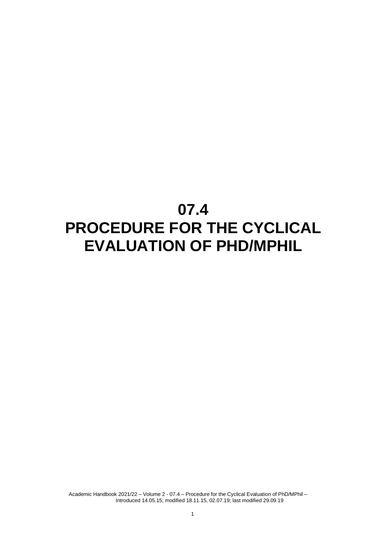# **07.4 PROCEDURE FOR THE CYCLICAL EVALUATION OF PHD/MPHIL**

Academic Handbook 2021/22 – Volume 2 - 07.4 – Procedure for the Cyclical Evaluation of PhD/MPhil – Introduced 14.05.15; modified 18.11.15, 02.07.19; last modified 29.09.19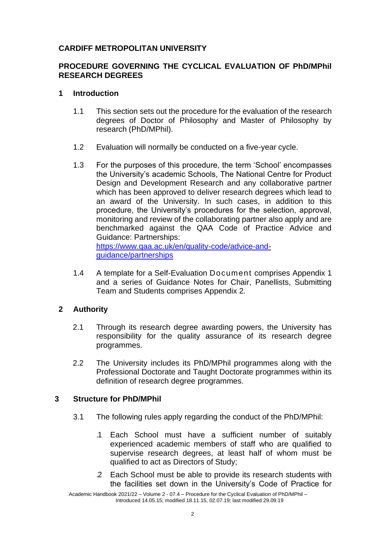# **CARDIFF METROPOLITAN UNIVERSITY**

# **PROCEDURE GOVERNING THE CYCLICAL EVALUATION OF PhD/MPhil RESEARCH DEGREES**

# **1 Introduction**

- 1.1 This section sets out the procedure for the evaluation of the research degrees of Doctor of Philosophy and Master of Philosophy by research (PhD/MPhil).
- 1.2 Evaluation will normally be conducted on a five-year cycle.
- 1.3 For the purposes of this procedure, the term 'School' encompasses the University's academic Schools, The National Centre for Product Design and Development Research and any collaborative partner which has been approved to deliver research degrees which lead to an award of the University. In such cases, in addition to this procedure, the University's procedures for the selection, approval, monitoring and review of the collaborating partner also apply and are benchmarked against the QAA Code of Practice Advice and Guidance: Partnerships: [https://www.qaa.ac.uk/en/quality-code/advice-and-](https://www.qaa.ac.uk/en/quality-code/advice-and-guidance/partnerships)

[guidance/partnerships](https://www.qaa.ac.uk/en/quality-code/advice-and-guidance/partnerships)

1.4 A template for a Self-Evaluation Document comprises Appendix 1 and a series of Guidance Notes for Chair, Panellists, Submitting Team and Students comprises Appendix 2*.*

# **2 Authority**

- 2.1 Through its research degree awarding powers, the University has responsibility for the quality assurance of its research degree programmes.
- 2.2 The University includes its PhD/MPhil programmes along with the Professional Doctorate and Taught Doctorate programmes within its definition of research degree programmes.

# **3 Structure for PhD/MPhil**

- 3.1 The following rules apply regarding the conduct of the PhD/MPhil:
	- .1 Each School must have a sufficient number of suitably experienced academic members of staff who are qualified to supervise research degrees, at least half of whom must be qualified to act as Directors of Study;
	- .2 Each School must be able to provide its research students with the facilities set down in the University's Code of Practice for

Academic Handbook 2021/22 – Volume 2 - 07.4 – Procedure for the Cyclical Evaluation of PhD/MPhil – Introduced 14.05.15; modified 18.11.15, 02.07.19; last modified 29.09.19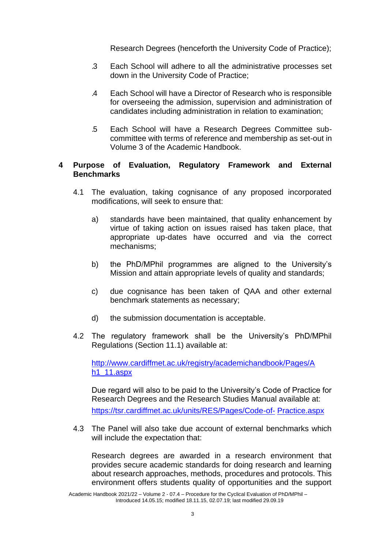Research Degrees (henceforth the University Code of Practice);

- .3 Each School will adhere to all the administrative processes set down in the University Code of Practice;
- .4 Each School will have a Director of Research who is responsible for overseeing the admission, supervision and administration of candidates including administration in relation to examination;
- .5 Each School will have a Research Degrees Committee subcommittee with terms of reference and membership as set-out in Volume 3 of the Academic Handbook.

# **4 Purpose of Evaluation, Regulatory Framework and External Benchmarks**

- 4.1 The evaluation, taking cognisance of any proposed incorporated modifications, will seek to ensure that:
	- a) standards have been maintained, that quality enhancement by virtue of taking action on issues raised has taken place, that appropriate up-dates have occurred and via the correct mechanisms;
	- b) the PhD/MPhil programmes are aligned to the University's Mission and attain appropriate levels of quality and standards;
	- c) due cognisance has been taken of QAA and other external benchmark statements as necessary;
	- d) the submission documentation is acceptable.
- 4.2 The regulatory framework shall be the University's PhD/MPhil Regulations (Section 11.1) available at:

[http://www.cardiffmet.ac.uk/registry/academichandbook/Pages/A](http://www.cardiffmet.ac.uk/registry/academichandbook/Pages/Ah1_11.aspx) [h1\\_11.aspx](http://www.cardiffmet.ac.uk/registry/academichandbook/Pages/Ah1_11.aspx)

Due regard will also to be paid to the University's Code of Practice for Research Degrees and the Research Studies Manual available at: [https://tsr.cardiffmet.ac.uk/units/RES/Pages/Code-of-](https://tsr.cardiffmet.ac.uk/units/RES/Pages/Code-of-Practice.aspx) [Practice.aspx](https://tsr.cardiffmet.ac.uk/units/RES/Pages/Code-of-Practice.aspx)

4.3 The Panel will also take due account of external benchmarks which will include the expectation that:

Research degrees are awarded in a research environment that provides secure academic standards for doing research and learning about research approaches, methods, procedures and protocols. This environment offers students quality of opportunities and the support

Academic Handbook 2021/22 – Volume 2 - 07.4 – Procedure for the Cyclical Evaluation of PhD/MPhil – Introduced 14.05.15; modified 18.11.15, 02.07.19; last modified 29.09.19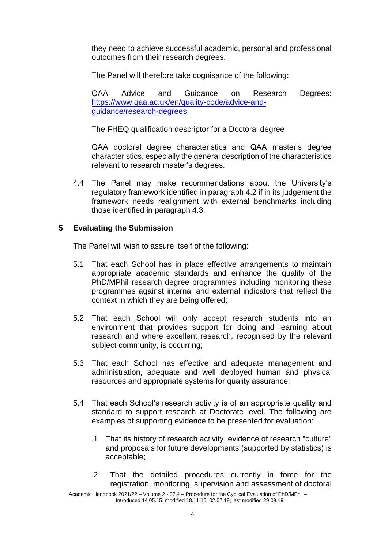they need to achieve successful academic, personal and professional outcomes from their research degrees.

The Panel will therefore take cognisance of the following:

QAA Advice and Guidance on Research Degrees: [https://www.qaa.ac.uk/en/quality-code/advice-and](https://www.qaa.ac.uk/en/quality-code/advice-and-guidance/research-degrees)[guidance/research-degrees](https://www.qaa.ac.uk/en/quality-code/advice-and-guidance/research-degrees)

The FHEQ qualification descriptor for a Doctoral degree

QAA doctoral degree characteristics and QAA master's degree characteristics, especially the general description of the characteristics relevant to research master's degrees.

4.4 The Panel may make recommendations about the University's regulatory framework identified in paragraph 4.2 if in its judgement the framework needs realignment with external benchmarks including those identified in paragraph 4.3.

# **5 Evaluating the Submission**

The Panel will wish to assure itself of the following:

- 5.1 That each School has in place effective arrangements to maintain appropriate academic standards and enhance the quality of the PhD/MPhil research degree programmes including monitoring these programmes against internal and external indicators that reflect the context in which they are being offered;
- 5.2 That each School will only accept research students into an environment that provides support for doing and learning about research and where excellent research, recognised by the relevant subject community, is occurring;
- 5.3 That each School has effective and adequate management and administration, adequate and well deployed human and physical resources and appropriate systems for quality assurance;
- 5.4 That each School's research activity is of an appropriate quality and standard to support research at Doctorate level. The following are examples of supporting evidence to be presented for evaluation:
	- .1 That its history of research activity, evidence of research "culture" and proposals for future developments (supported by statistics) is acceptable;
	- .2 That the detailed procedures currently in force for the registration, monitoring, supervision and assessment of doctoral

Academic Handbook 2021/22 – Volume 2 - 07.4 – Procedure for the Cyclical Evaluation of PhD/MPhil – Introduced 14.05.15; modified 18.11.15, 02.07.19; last modified 29.09.19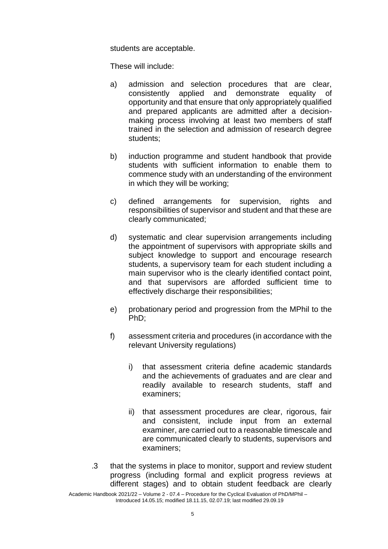students are acceptable.

These will include:

- a) admission and selection procedures that are clear, consistently applied and demonstrate equality of opportunity and that ensure that only appropriately qualified and prepared applicants are admitted after a decisionmaking process involving at least two members of staff trained in the selection and admission of research degree students;
- b) induction programme and student handbook that provide students with sufficient information to enable them to commence study with an understanding of the environment in which they will be working;
- c) defined arrangements for supervision, rights and responsibilities of supervisor and student and that these are clearly communicated;
- d) systematic and clear supervision arrangements including the appointment of supervisors with appropriate skills and subject knowledge to support and encourage research students, a supervisory team for each student including a main supervisor who is the clearly identified contact point, and that supervisors are afforded sufficient time to effectively discharge their responsibilities;
- e) probationary period and progression from the MPhil to the PhD;
- f) assessment criteria and procedures (in accordance with the relevant University regulations)
	- i) that assessment criteria define academic standards and the achievements of graduates and are clear and readily available to research students, staff and examiners;
	- ii) that assessment procedures are clear, rigorous, fair and consistent, include input from an external examiner, are carried out to a reasonable timescale and are communicated clearly to students, supervisors and examiners;
- .3 that the systems in place to monitor, support and review student progress (including formal and explicit progress reviews at different stages) and to obtain student feedback are clearly

Academic Handbook 2021/22 – Volume 2 - 07.4 – Procedure for the Cyclical Evaluation of PhD/MPhil – Introduced 14.05.15; modified 18.11.15, 02.07.19; last modified 29.09.19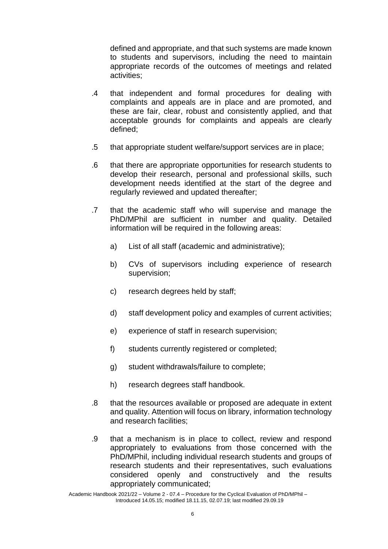defined and appropriate, and that such systems are made known to students and supervisors, including the need to maintain appropriate records of the outcomes of meetings and related activities;

- .4 that independent and formal procedures for dealing with complaints and appeals are in place and are promoted, and these are fair, clear, robust and consistently applied, and that acceptable grounds for complaints and appeals are clearly defined;
- .5 that appropriate student welfare/support services are in place;
- .6 that there are appropriate opportunities for research students to develop their research, personal and professional skills, such development needs identified at the start of the degree and regularly reviewed and updated thereafter;
- .7 that the academic staff who will supervise and manage the PhD/MPhil are sufficient in number and quality. Detailed information will be required in the following areas:
	- a) List of all staff (academic and administrative);
	- b) CVs of supervisors including experience of research supervision;
	- c) research degrees held by staff;
	- d) staff development policy and examples of current activities;
	- e) experience of staff in research supervision;
	- f) students currently registered or completed;
	- g) student withdrawals/failure to complete;
	- h) research degrees staff handbook.
- .8 that the resources available or proposed are adequate in extent and quality. Attention will focus on library, information technology and research facilities;
- .9 that a mechanism is in place to collect, review and respond appropriately to evaluations from those concerned with the PhD/MPhil, including individual research students and groups of research students and their representatives, such evaluations considered openly and constructively and the results appropriately communicated;

Academic Handbook 2021/22 – Volume 2 - 07.4 – Procedure for the Cyclical Evaluation of PhD/MPhil – Introduced 14.05.15; modified 18.11.15, 02.07.19; last modified 29.09.19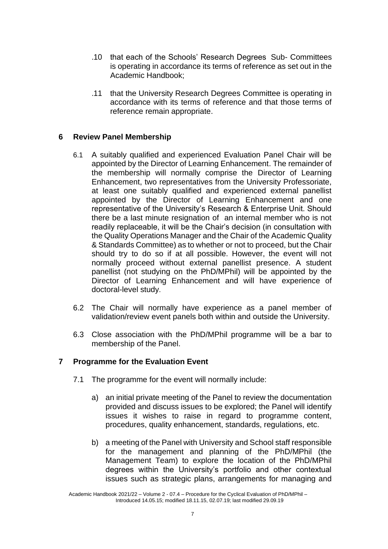- .10 that each of the Schools' Research Degrees Sub- Committees is operating in accordance its terms of reference as set out in the Academic Handbook;
- .11 that the University Research Degrees Committee is operating in accordance with its terms of reference and that those terms of reference remain appropriate.

# **6 Review Panel Membership**

- 6.1 A suitably qualified and experienced Evaluation Panel Chair will be appointed by the Director of Learning Enhancement. The remainder of the membership will normally comprise the Director of Learning Enhancement, two representatives from the University Professoriate, at least one suitably qualified and experienced external panellist appointed by the Director of Learning Enhancement and one representative of the University's Research & Enterprise Unit. Should there be a last minute resignation of an internal member who is not readily replaceable, it will be the Chair's decision (in consultation with the Quality Operations Manager and the Chair of the Academic Quality & Standards Committee) as to whether or not to proceed, but the Chair should try to do so if at all possible. However, the event will not normally proceed without external panellist presence. A student panellist (not studying on the PhD/MPhil) will be appointed by the Director of Learning Enhancement and will have experience of doctoral-level study.
- 6.2 The Chair will normally have experience as a panel member of validation/review event panels both within and outside the University.
- 6.3 Close association with the PhD/MPhil programme will be a bar to membership of the Panel.

# **7 Programme for the Evaluation Event**

- 7.1 The programme for the event will normally include:
	- a) an initial private meeting of the Panel to review the documentation provided and discuss issues to be explored; the Panel will identify issues it wishes to raise in regard to programme content, procedures, quality enhancement, standards, regulations, etc.
	- b) a meeting of the Panel with University and School staff responsible for the management and planning of the PhD/MPhil (the Management Team) to explore the location of the PhD/MPhil degrees within the University's portfolio and other contextual issues such as strategic plans, arrangements for managing and

Academic Handbook 2021/22 – Volume 2 - 07.4 – Procedure for the Cyclical Evaluation of PhD/MPhil – Introduced 14.05.15; modified 18.11.15, 02.07.19; last modified 29.09.19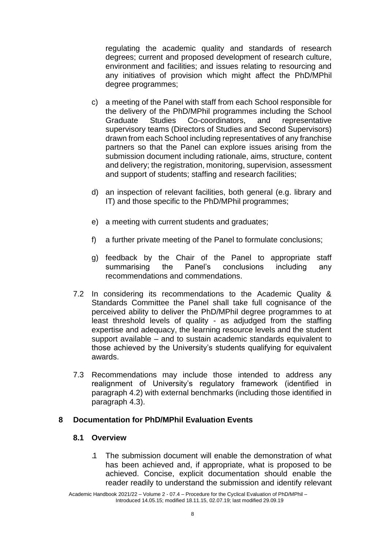regulating the academic quality and standards of research degrees; current and proposed development of research culture, environment and facilities; and issues relating to resourcing and any initiatives of provision which might affect the PhD/MPhil degree programmes;

- c) a meeting of the Panel with staff from each School responsible for the delivery of the PhD/MPhil programmes including the School Graduate Studies Co-coordinators, and representative supervisory teams (Directors of Studies and Second Supervisors) drawn from each School including representatives of any franchise partners so that the Panel can explore issues arising from the submission document including rationale, aims, structure, content and delivery; the registration, monitoring, supervision, assessment and support of students; staffing and research facilities;
- d) an inspection of relevant facilities, both general (e.g. library and IT) and those specific to the PhD/MPhil programmes;
- e) a meeting with current students and graduates;
- f) a further private meeting of the Panel to formulate conclusions;
- g) feedback by the Chair of the Panel to appropriate staff summarising the Panel's conclusions including any recommendations and commendations.
- 7.2 In considering its recommendations to the Academic Quality & Standards Committee the Panel shall take full cognisance of the perceived ability to deliver the PhD/MPhil degree programmes to at least threshold levels of quality - as adjudged from the staffing expertise and adequacy, the learning resource levels and the student support available – and to sustain academic standards equivalent to those achieved by the University's students qualifying for equivalent awards.
- 7.3 Recommendations may include those intended to address any realignment of University's regulatory framework (identified in paragraph 4.2) with external benchmarks (including those identified in paragraph 4.3).

# **8 Documentation for PhD/MPhil Evaluation Events**

#### **8.1 Overview**

.1 The submission document will enable the demonstration of what has been achieved and, if appropriate, what is proposed to be achieved. Concise, explicit documentation should enable the reader readily to understand the submission and identify relevant

Academic Handbook 2021/22 – Volume 2 - 07.4 – Procedure for the Cyclical Evaluation of PhD/MPhil – Introduced 14.05.15; modified 18.11.15, 02.07.19; last modified 29.09.19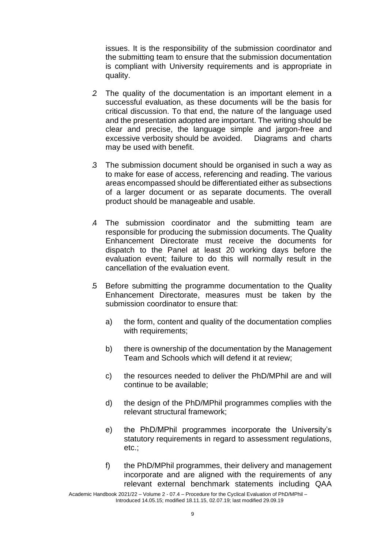issues. It is the responsibility of the submission coordinator and the submitting team to ensure that the submission documentation is compliant with University requirements and is appropriate in quality.

- .2 The quality of the documentation is an important element in a successful evaluation, as these documents will be the basis for critical discussion. To that end, the nature of the language used and the presentation adopted are important. The writing should be clear and precise, the language simple and jargon-free and excessive verbosity should be avoided. Diagrams and charts may be used with benefit.
- .3 The submission document should be organised in such a way as to make for ease of access, referencing and reading. The various areas encompassed should be differentiated either as subsections of a larger document or as separate documents. The overall product should be manageable and usable.
- .4 The submission coordinator and the submitting team are responsible for producing the submission documents. The Quality Enhancement Directorate must receive the documents for dispatch to the Panel at least 20 working days before the evaluation event; failure to do this will normally result in the cancellation of the evaluation event.
- .5 Before submitting the programme documentation to the Quality Enhancement Directorate, measures must be taken by the submission coordinator to ensure that:
	- a) the form, content and quality of the documentation complies with requirements;
	- b) there is ownership of the documentation by the Management Team and Schools which will defend it at review;
	- c) the resources needed to deliver the PhD/MPhil are and will continue to be available;
	- d) the design of the PhD/MPhil programmes complies with the relevant structural framework;
	- e) the PhD/MPhil programmes incorporate the University's statutory requirements in regard to assessment regulations, etc.;
	- f) the PhD/MPhil programmes, their delivery and management incorporate and are aligned with the requirements of any relevant external benchmark statements including QAA

Academic Handbook 2021/22 – Volume 2 - 07.4 – Procedure for the Cyclical Evaluation of PhD/MPhil – Introduced 14.05.15; modified 18.11.15, 02.07.19; last modified 29.09.19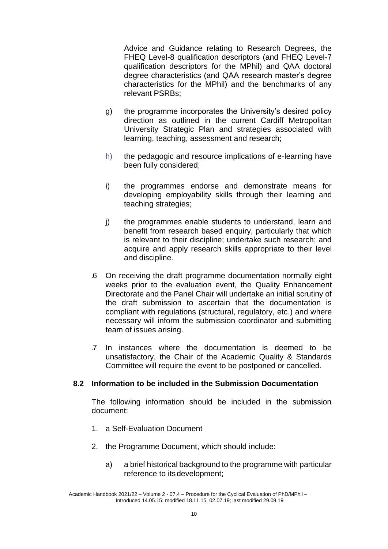Advice and Guidance relating to Research Degrees, the FHEQ Level-8 qualification descriptors (and FHEQ Level-7 qualification descriptors for the MPhil) and QAA doctoral degree characteristics (and QAA research master's degree characteristics for the MPhil) and the benchmarks of any relevant PSRBs;

- g) the programme incorporates the University's desired policy direction as outlined in the current Cardiff Metropolitan University Strategic Plan and strategies associated with learning, teaching, assessment and research;
- h) the pedagogic and resource implications of e-learning have been fully considered;
- i) the programmes endorse and demonstrate means for developing employability skills through their learning and teaching strategies;
- j) the programmes enable students to understand, learn and benefit from research based enquiry, particularly that which is relevant to their discipline; undertake such research; and acquire and apply research skills appropriate to their level and discipline.
- .6 On receiving the draft programme documentation normally eight weeks prior to the evaluation event, the Quality Enhancement Directorate and the Panel Chair will undertake an initial scrutiny of the draft submission to ascertain that the documentation is compliant with regulations (structural, regulatory, etc.) and where necessary will inform the submission coordinator and submitting team of issues arising.
- .7 In instances where the documentation is deemed to be unsatisfactory, the Chair of the Academic Quality & Standards Committee will require the event to be postponed or cancelled.

# **8.2 Information to be included in the Submission Documentation**

The following information should be included in the submission document:

- 1. a Self-Evaluation Document
- 2. the Programme Document, which should include:
	- a) a brief historical background to the programme with particular reference to itsdevelopment;

Academic Handbook 2021/22 – Volume 2 - 07.4 – Procedure for the Cyclical Evaluation of PhD/MPhil – Introduced 14.05.15; modified 18.11.15, 02.07.19; last modified 29.09.19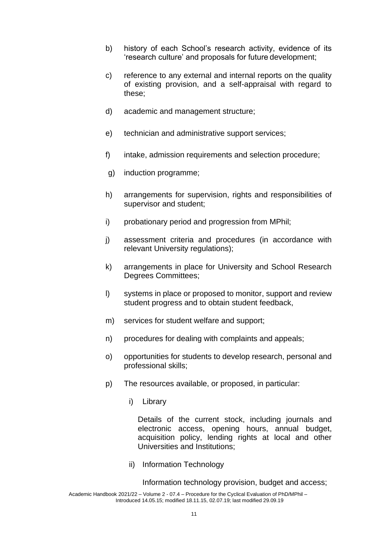- b) history of each School's research activity, evidence of its 'research culture' and proposals for future development;
- c) reference to any external and internal reports on the quality of existing provision, and a self-appraisal with regard to these;
- d) academic and management structure;
- e) technician and administrative support services;
- f) intake, admission requirements and selection procedure;
- g) induction programme;
- h) arrangements for supervision, rights and responsibilities of supervisor and student;
- i) probationary period and progression from MPhil;
- j) assessment criteria and procedures (in accordance with relevant University regulations);
- k) arrangements in place for University and School Research Degrees Committees;
- l) systems in place or proposed to monitor, support and review student progress and to obtain student feedback,
- m) services for student welfare and support;
- n) procedures for dealing with complaints and appeals;
- o) opportunities for students to develop research, personal and professional skills;
- p) The resources available, or proposed, in particular:
	- i) Library

Details of the current stock, including journals and electronic access, opening hours, annual budget, acquisition policy, lending rights at local and other Universities and Institutions;

ii) Information Technology

Information technology provision, budget and access;

Academic Handbook 2021/22 – Volume 2 - 07.4 – Procedure for the Cyclical Evaluation of PhD/MPhil – Introduced 14.05.15; modified 18.11.15, 02.07.19; last modified 29.09.19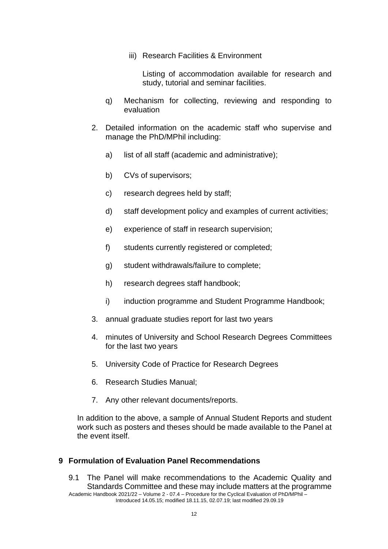iii) Research Facilities & Environment

Listing of accommodation available for research and study, tutorial and seminar facilities.

- q) Mechanism for collecting, reviewing and responding to evaluation
- 2. Detailed information on the academic staff who supervise and manage the PhD/MPhil including:
	- a) list of all staff (academic and administrative);
	- b) CVs of supervisors;
	- c) research degrees held by staff;
	- d) staff development policy and examples of current activities;
	- e) experience of staff in research supervision;
	- f) students currently registered or completed;
	- g) student withdrawals/failure to complete;
	- h) research degrees staff handbook;
	- i) induction programme and Student Programme Handbook;
- 3. annual graduate studies report for last two years
- 4. minutes of University and School Research Degrees Committees for the last two years
- 5. University Code of Practice for Research Degrees
- 6. Research Studies Manual;
- 7. Any other relevant documents/reports.

In addition to the above, a sample of Annual Student Reports and student work such as posters and theses should be made available to the Panel at the event itself.

#### **9 Formulation of Evaluation Panel Recommendations**

Academic Handbook 2021/22 – Volume 2 - 07.4 – Procedure for the Cyclical Evaluation of PhD/MPhil – Introduced 14.05.15; modified 18.11.15, 02.07.19; last modified 29.09.19 9.1 The Panel will make recommendations to the Academic Quality and Standards Committee and these may include matters at the programme